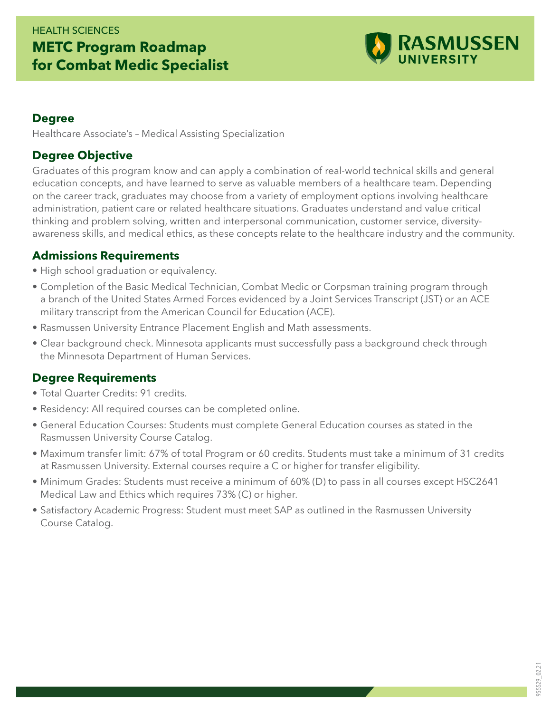## HEALTH SCIENCES **METC Program Roadmap for Combat Medic Specialist**



#### **Degree**

Healthcare Associate's – Medical Assisting Specialization

### **Degree Objective**

Graduates of this program know and can apply a combination of real-world technical skills and general education concepts, and have learned to serve as valuable members of a healthcare team. Depending on the career track, graduates may choose from a variety of employment options involving healthcare administration, patient care or related healthcare situations. Graduates understand and value critical thinking and problem solving, written and interpersonal communication, customer service, diversityawareness skills, and medical ethics, as these concepts relate to the healthcare industry and the community.

### **Admissions Requirements**

- High school graduation or equivalency.
- Completion of the Basic Medical Technician, Combat Medic or Corpsman training program through a branch of the United States Armed Forces evidenced by a Joint Services Transcript (JST) or an ACE military transcript from the American Council for Education (ACE).
- Rasmussen University Entrance Placement English and Math assessments.
- Clear background check. Minnesota applicants must successfully pass a background check through the Minnesota Department of Human Services.

### **Degree Requirements**

- Total Quarter Credits: 91 credits.
- Residency: All required courses can be completed online.
- General Education Courses: Students must complete General Education courses as stated in the Rasmussen University Course Catalog.
- Maximum transfer limit: 67% of total Program or 60 credits. Students must take a minimum of 31 credits at Rasmussen University. External courses require a C or higher for transfer eligibility.
- Minimum Grades: Students must receive a minimum of 60% (D) to pass in all courses except HSC2641 Medical Law and Ethics which requires 73% (C) or higher.
- Satisfactory Academic Progress: Student must meet SAP as outlined in the Rasmussen University Course Catalog.